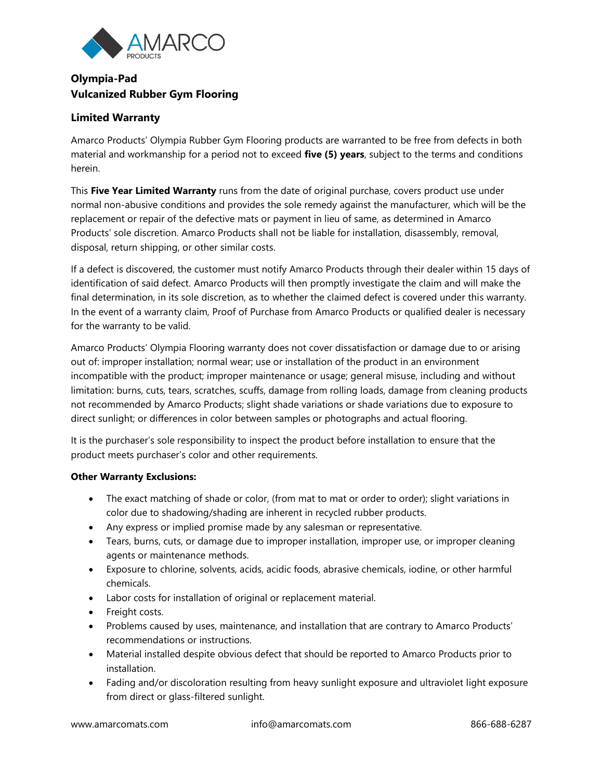

## **Olympia-Pad Vulcanized Rubber Gym Flooring**

## **Limited Warranty**

Amarco Products' Olympia Rubber Gym Flooring products are warranted to be free from defects in both material and workmanship for a period not to exceed **five (5) years**, subject to the terms and conditions herein.

This **Five Year Limited Warranty** runs from the date of original purchase, covers product use under normal non-abusive conditions and provides the sole remedy against the manufacturer, which will be the replacement or repair of the defective mats or payment in lieu of same, as determined in Amarco Products' sole discretion. Amarco Products shall not be liable for installation, disassembly, removal, disposal, return shipping, or other similar costs.

If a defect is discovered, the customer must notify Amarco Products through their dealer within 15 days of identification of said defect. Amarco Products will then promptly investigate the claim and will make the final determination, in its sole discretion, as to whether the claimed defect is covered under this warranty. In the event of a warranty claim, Proof of Purchase from Amarco Products or qualified dealer is necessary for the warranty to be valid.

Amarco Products' Olympia Flooring warranty does not cover dissatisfaction or damage due to or arising out of: improper installation; normal wear; use or installation of the product in an environment incompatible with the product; improper maintenance or usage; general misuse, including and without limitation: burns, cuts, tears, scratches, scuffs, damage from rolling loads, damage from cleaning products not recommended by Amarco Products; slight shade variations or shade variations due to exposure to direct sunlight; or differences in color between samples or photographs and actual flooring.

It is the purchaser's sole responsibility to inspect the product before installation to ensure that the product meets purchaser's color and other requirements.

## **Other Warranty Exclusions:**

- The exact matching of shade or color, (from mat to mat or order to order); slight variations in color due to shadowing/shading are inherent in recycled rubber products.
- Any express or implied promise made by any salesman or representative.
- Tears, burns, cuts, or damage due to improper installation, improper use, or improper cleaning agents or maintenance methods.
- Exposure to chlorine, solvents, acids, acidic foods, abrasive chemicals, iodine, or other harmful chemicals.
- Labor costs for installation of original or replacement material.
- Freight costs.
- Problems caused by uses, maintenance, and installation that are contrary to Amarco Products' recommendations or instructions.
- Material installed despite obvious defect that should be reported to Amarco Products prior to installation.
- Fading and/or discoloration resulting from heavy sunlight exposure and ultraviolet light exposure from direct or glass-filtered sunlight.